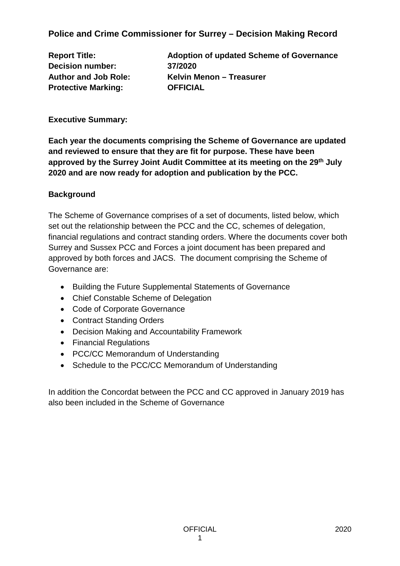**Police and Crime Commissioner for Surrey – Decision Making Record**

**Decision number: 37/2020 Protective Marking: OFFICIAL**

**Report Title: Adoption of updated Scheme of Governance Author and Job Role: Kelvin Menon – Treasurer**

**Executive Summary:**

**Each year the documents comprising the Scheme of Governance are updated and reviewed to ensure that they are fit for purpose. These have been approved by the Surrey Joint Audit Committee at its meeting on the 29th July 2020 and are now ready for adoption and publication by the PCC.** 

# **Background**

The Scheme of Governance comprises of a set of documents, listed below, which set out the relationship between the PCC and the CC, schemes of delegation, financial regulations and contract standing orders. Where the documents cover both Surrey and Sussex PCC and Forces a joint document has been prepared and approved by both forces and JACS. The document comprising the Scheme of Governance are:

- Building the Future Supplemental Statements of Governance
- Chief Constable Scheme of Delegation
- Code of Corporate Governance
- Contract Standing Orders
- Decision Making and Accountability Framework
- Financial Regulations
- PCC/CC Memorandum of Understanding
- Schedule to the PCC/CC Memorandum of Understanding

In addition the Concordat between the PCC and CC approved in January 2019 has also been included in the Scheme of Governance